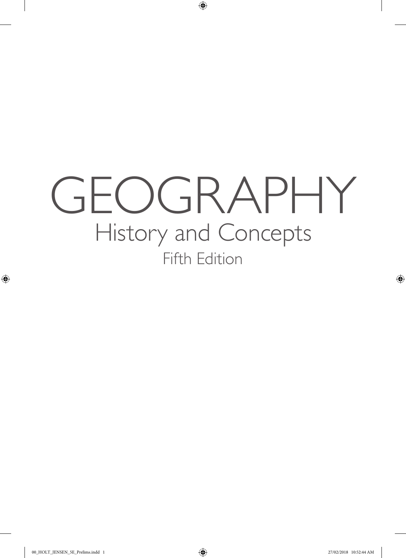# GEOGRAPHY History and Concepts Fifth Edition

 $\bigoplus$ 

 $\bigoplus$ 

 $\bigoplus$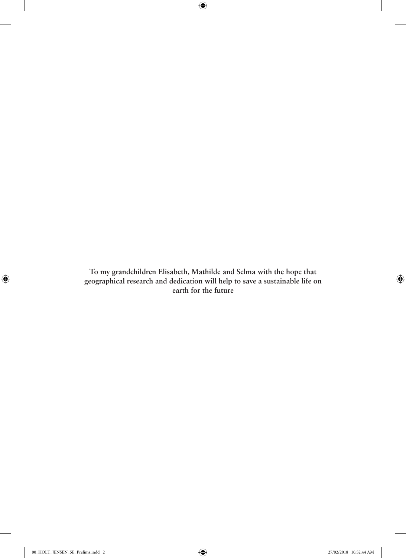**To my grandchildren Elisabeth, Mathilde and Selma with the hope that geographical research and dedication will help to save a sustainable life on earth for the future**

 $\bigoplus$ 

 $\overline{\phantom{a}}$ 

 $\bigoplus$ 

 $\overline{\phantom{a}}$ 

 $\bigoplus$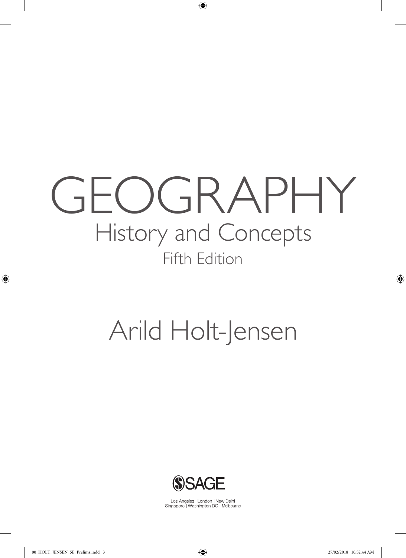# GEOGRAPHY History and Concepts Fifth Edition

 $\bigoplus$ 

## Arild Holt-Jensen



Los Angeles | London | New Delhi<br>Singapore | Washington DC | Melbourne

 $\bigoplus$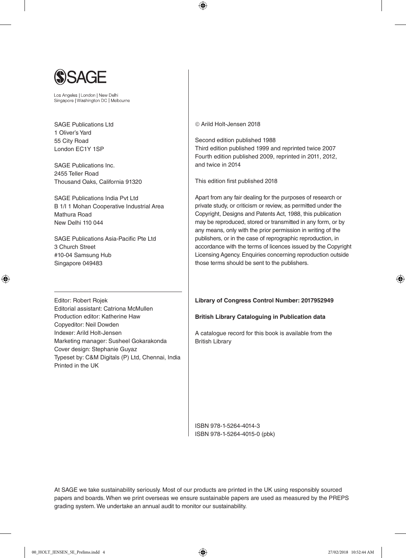

Los Angeles | London | New Delhi Singapore | Washington DC | Melbourne

SAGE Publications Ltd 1 Oliver's Yard 55 City Road London EC1Y 1SP

SAGE Publications Inc. 2455 Teller Road Thousand Oaks, California 91320

SAGE Publications India Pvt Ltd B 1/I 1 Mohan Cooperative Industrial Area Mathura Road New Delhi 110 044

SAGE Publications Asia-Pacific Pte Ltd 3 Church Street #10-04 Samsung Hub Singapore 049483

⊕

Arild Holt-Jensen 2018

 $\textcolor{red}{\bigoplus}$ 

Second edition published 1988 Third edition published 1999 and reprinted twice 2007 Fourth edition published 2009, reprinted in 2011, 2012, and twice in 2014

This edition first published 2018

Apart from any fair dealing for the purposes of research or private study, or criticism or review, as permitted under the Copyright, Designs and Patents Act, 1988, this publication may be reproduced, stored or transmitted in any form, or by any means, only with the prior permission in writing of the publishers, or in the case of reprographic reproduction, in accordance with the terms of licences issued by the Copyright Licensing Agency. Enquiries concerning reproduction outside those terms should be sent to the publishers.

Editor: Robert Rojek Editorial assistant: Catriona McMullen Production editor: Katherine Haw Copyeditor: Neil Dowden Indexer: Arild Holt-Jensen Marketing manager: Susheel Gokarakonda Cover design: Stephanie Guyaz Typeset by: C&M Digitals (P) Ltd, Chennai, India Printed in the UK

**Library of Congress Control Number: 2017952949**

**British Library Cataloguing in Publication data**

A catalogue record for this book is available from the British Library

ISBN 978-1-5264-4014-3 ISBN 978-1-5264-4015-0 (pbk)

At SAGE we take sustainability seriously. Most of our products are printed in the UK using responsibly sourced papers and boards. When we print overseas we ensure sustainable papers are used as measured by the PREPS grading system. We undertake an annual audit to monitor our sustainability.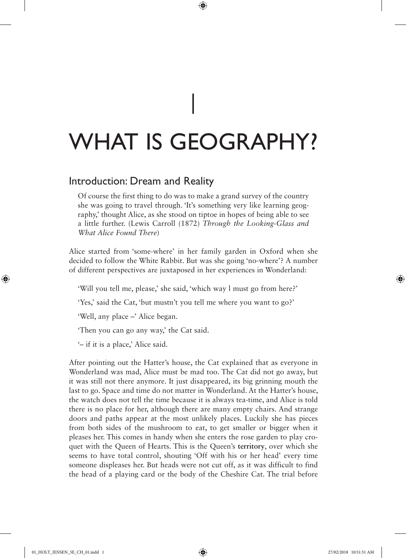1

 $\textcircled{\scriptsize{*}}$ 

## Introduction: Dream and Reality

Of course the first thing to do was to make a grand survey of the country she was going to travel through. 'It's something very like learning geography,' thought Alice, as she stood on tiptoe in hopes of being able to see a little further. (Lewis Carroll (1872) *Through the Looking-Glass and What Alice Found There*)

Alice started from 'some-where' in her family garden in Oxford when she decided to follow the White Rabbit. But was she going 'no-where'? A number of different perspectives are juxtaposed in her experiences in Wonderland:

'Will you tell me, please,' she said, 'which way l must go from here?'

'Yes,' said the Cat, 'but mustn't you tell me where you want to go?'

'Well, any place –' Alice began.

'Then you can go any way,' the Cat said.

'– if it is a place,' Alice said.

After pointing out the Hatter's house, the Cat explained that as everyone in Wonderland was mad, Alice must be mad too. The Cat did not go away, but it was still not there anymore. It just disappeared, its big grinning mouth the last to go. Space and time do not matter in Wonderland. At the Hatter's house, the watch does not tell the time because it is always tea-time, and Alice is told there is no place for her, although there are many empty chairs. And strange doors and paths appear at the most unlikely places. Luckily she has pieces from both sides of the mushroom to eat, to get smaller or bigger when it pleases her. This comes in handy when she enters the rose garden to play croquet with the Queen of Hearts. This is the Queen's **territory**, over which she seems to have total control, shouting 'Off with his or her head' every time someone displeases her. But heads were not cut off, as it was difficult to find the head of a playing card or the body of the Cheshire Cat. The trial before

⊕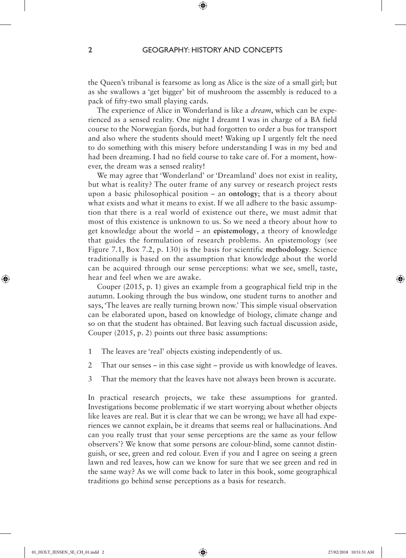⊕

the Queen's tribunal is fearsome as long as Alice is the size of a small girl; but as she swallows a 'get bigger' bit of mushroom the assembly is reduced to a pack of fifty-two small playing cards.

The experience of Alice in Wonderland is like a *dream*, which can be experienced as a sensed reality. One night I dreamt I was in charge of a BA field course to the Norwegian fjords, but had forgotten to order a bus for transport and also where the students should meet! Waking up I urgently felt the need to do something with this misery before understanding I was in my bed and had been dreaming. I had no field course to take care of. For a moment, however, the dream was a sensed reality!

We may agree that 'Wonderland' or 'Dreamland' does not exist in reality, but what is reality? The outer frame of any survey or research project rests upon a basic philosophical position – an **ontology**; that is a theory about what exists and what it means to exist. If we all adhere to the basic assumption that there is a real world of existence out there, we must admit that most of this existence is unknown to us. So we need a theory about how to get knowledge about the world – an **epistemology**, a theory of knowledge that guides the formulation of research problems. An epistemology (see Figure 7.1, Box 7.2, p. 130) is the basis for scientific **methodology**. Science traditionally is based on the assumption that knowledge about the world can be acquired through our sense perceptions: what we see, smell, taste, hear and feel when we are awake.

Couper (2015, p. 1) gives an example from a geographical field trip in the autumn. Looking through the bus window, one student turns to another and says, 'The leaves are really turning brown now.' This simple visual observation can be elaborated upon, based on knowledge of biology, climate change and so on that the student has obtained. But leaving such factual discussion aside, Couper (2015, p. 2) points out three basic assumptions:

- 1 The leaves are 'real' objects existing independently of us.
- 2 That our senses in this case sight provide us with knowledge of leaves.
- 3 That the memory that the leaves have not always been brown is accurate.

In practical research projects, we take these assumptions for granted. Investigations become problematic if we start worrying about whether objects like leaves are real. But it is clear that we can be wrong; we have all had experiences we cannot explain, be it dreams that seems real or hallucinations. And can you really trust that your sense perceptions are the same as your fellow observers'? We know that some persons are colour-blind, some cannot distinguish, or see, green and red colour. Even if you and I agree on seeing a green lawn and red leaves, how can we know for sure that we see green and red in the same way? As we will come back to later in this book, some geographical traditions go behind sense perceptions as a basis for research.

♠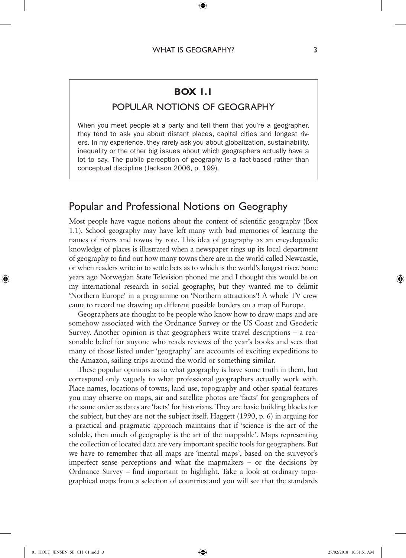$\bigoplus$ 

## **BOX 1.1**

#### POPULAR NOTIONS OF GEOGRAPHY

When you meet people at a party and tell them that you're a geographer, they tend to ask you about distant places, capital cities and longest rivers. In my experience, they rarely ask you about globalization, sustainability, inequality or the other big issues about which geographers actually have a lot to say. The public perception of geography is a fact-based rather than conceptual discipline (Jackson 2006, p. 199).

## Popular and Professional Notions on Geography

Most people have vague notions about the content of scientific geography (Box 1.1). School geography may have left many with bad memories of learning the names of rivers and towns by rote. This idea of geography as an encyclopaedic knowledge of places is illustrated when a newspaper rings up its local department of geography to find out how many towns there are in the world called Newcastle, or when readers write in to settle bets as to which is the world's longest river. Some years ago Norwegian State Television phoned me and I thought this would be on my international research in social geography, but they wanted me to delimit 'Northern Europe' in a programme on 'Northern attractions'! A whole TV crew came to record me drawing up different possible borders on a map of Europe.

Geographers are thought to be people who know how to draw maps and are somehow associated with the Ordnance Survey or the US Coast and Geodetic Survey. Another opinion is that geographers write travel descriptions – a reasonable belief for anyone who reads reviews of the year's books and sees that many of those listed under 'geography' are accounts of exciting expeditions to the Amazon, sailing trips around the world or something similar.

These popular opinions as to what geography is have some truth in them, but correspond only vaguely to what professional geographers actually work with. Place names, locations of towns, land use, topography and other spatial features you may observe on maps, air and satellite photos are 'facts' for geographers of the same order as dates are 'facts' for historians. They are basic building blocks for the subject, but they are not the subject itself. Haggett (1990, p. 6) in arguing for a practical and pragmatic approach maintains that if 'science is the art of the soluble, then much of geography is the art of the mappable'. Maps representing the collection of located data are very important specific tools for geographers. But we have to remember that all maps are 'mental maps', based on the surveyor's imperfect sense perceptions and what the mapmakers – or the decisions by Ordnance Survey – find important to highlight. Take a look at ordinary topographical maps from a selection of countries and you will see that the standards

♠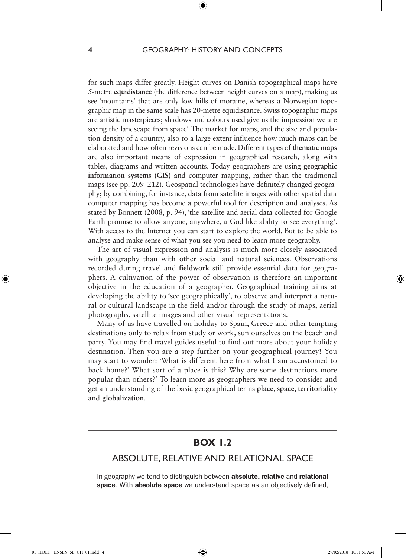⊕

for such maps differ greatly. Height curves on Danish topographical maps have 5-metre **equidistance** (the difference between height curves on a map), making us see 'mountains' that are only low hills of moraine, whereas a Norwegian topographic map in the same scale has 20-metre equidistance. Swiss topographic maps are artistic masterpieces; shadows and colours used give us the impression we are seeing the landscape from space! The market for maps, and the size and population density of a country, also to a large extent influence how much maps can be elaborated and how often revisions can be made. Different types of **thematic maps** are also important means of expression in geographical research, along with tables, diagrams and written accounts. Today geographers are using **geographic information systems (GIS)** and computer mapping, rather than the traditional maps (see pp. 209–212). Geospatial technologies have definitely changed geography; by combining, for instance, data from satellite images with other spatial data computer mapping has become a powerful tool for description and analyses. As stated by Bonnett (2008, p. 94), 'the satellite and aerial data collected for Google Earth promise to allow anyone, anywhere, a God-like ability to see everything'. With access to the Internet you can start to explore the world. But to be able to analyse and make sense of what you see you need to learn more geography.

The art of visual expression and analysis is much more closely associated with geography than with other social and natural sciences. Observations recorded during travel and **fieldwork** still provide essential data for geographers. A cultivation of the power of observation is therefore an important objective in the education of a geographer. Geographical training aims at developing the ability to 'see geographically', to observe and interpret a natural or cultural landscape in the field and/or through the study of maps, aerial photographs, satellite images and other visual representations.

Many of us have travelled on holiday to Spain, Greece and other tempting destinations only to relax from study or work, sun ourselves on the beach and party. You may find travel guides useful to find out more about your holiday destination. Then you are a step further on your geographical journey! You may start to wonder: 'What is different here from what I am accustomed to back home?' What sort of a place is this? Why are some destinations more popular than others?' To learn more as geographers we need to consider and get an understanding of the basic geographical terms **place, space, territoriality**  and **globalization**.

## **BOX 1.2**

#### ABSOLUTE, RELATIVE AND RELATIONAL SPACE

In geography we tend to distinguish between absolute, relative and relational space. With absolute space we understand space as an objectively defined.

♠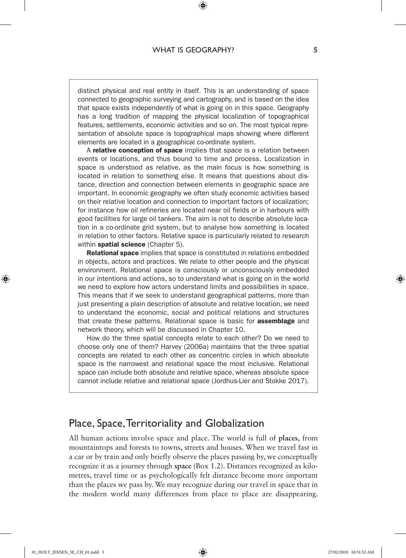$\textcircled{\scriptsize\textsf{P}}$ 

distinct physical and real entity in itself. This is an understanding of space connected to geographic surveying and cartography, and is based on the idea that space exists independently of what is going on in this space. Geography has a long tradition of mapping the physical localization of topographical features, settlements, economic activities and so on. The most typical representation of absolute space is topographical maps showing where different elements are located in a geographical co-ordinate system.

A relative conception of space implies that space is a relation between events or locations, and thus bound to time and process. Localization in space is understood as relative, as the main focus is how something is located in relation to something else. It means that questions about distance, direction and connection between elements in geographic space are important. In economic geography we often study economic activities based on their relative location and connection to important factors of localization; for instance how oil refineries are located near oil fields or in harbours with good facilities for large oil tankers. The aim is not to describe absolute location in a co-ordinate grid system, but to analyse how something is located in relation to other factors. Relative space is particularly related to research within spatial science (Chapter 5).

Relational space implies that space is constituted in relations embedded in objects, actors and practices. We relate to other people and the physical environment. Relational space is consciously or unconsciously embedded in our intentions and actions, so to understand what is going on in the world we need to explore how actors understand limits and possibilities in space. This means that if we seek to understand geographical patterns, more than just presenting a plain description of absolute and relative location, we need to understand the economic, social and political relations and structures that create these patterns. Relational space is basic for **assemblage** and network theory, which will be discussed in Chapter 10.

How do the three spatial concepts relate to each other? Do we need to choose only one of them? Harvey (2006a) maintains that the three spatial concepts are related to each other as concentric circles in which absolute space is the narrowest and relational space the most inclusive. Relational space can include both absolute and relative space, whereas absolute space cannot include relative and relational space (Jordhus-Lier and Stokke 2017).

## Place, Space, Territoriality and Globalization

All human actions involve space and place. The world is full of **places**, from mountaintops and forests to towns, streets and houses. When we travel fast in a car or by train and only briefly observe the places passing by, we conceptually recognize it as a journey through **space** (Box 1.2). Distances recognized as kilometres, travel time or as psychologically felt distance become more important than the places we pass by. We may recognize during our travel in space that in the modern world many differences from place to place are disappearing.

♠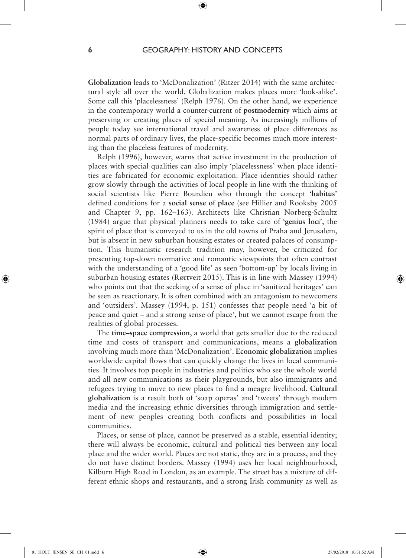⊕

**Globalization** leads to 'McDonalization' (Ritzer 2014) with the same architectural style all over the world. Globalization makes places more 'look-alike'. Some call this 'placelessness' (Relph 1976). On the other hand, we experience in the contemporary world a counter-current of **postmodernity** which aims at preserving or creating places of special meaning. As increasingly millions of people today see international travel and awareness of place differences as normal parts of ordinary lives, the place-specific becomes much more interesting than the placeless features of modernity.

Relph (1996), however, warns that active investment in the production of places with special qualities can also imply 'placelessness' when place identities are fabricated for economic exploitation. Place identities should rather grow slowly through the activities of local people in line with the thinking of social scientists like Pierre Bourdieu who through the concept '**habitus'**  defined conditions for a **social sense of place** (see Hillier and Rooksby 2005 and Chapter 9, pp. 162–163). Architects like Christian Norberg-Schultz (1984) argue that physical planners needs to take care of '**genius loci**', the spirit of place that is conveyed to us in the old towns of Praha and Jerusalem, but is absent in new suburban housing estates or created palaces of consumption. This humanistic research tradition may, however, be criticized for presenting top-down normative and romantic viewpoints that often contrast with the understanding of a 'good life' as seen 'bottom-up' by locals living in suburban housing estates (Rørtveit 2015). This is in line with Massey (1994) who points out that the seeking of a sense of place in 'sanitized heritages' can be seen as reactionary. It is often combined with an antagonism to newcomers and 'outsiders'. Massey (1994, p. 151) confesses that people need 'a bit of peace and quiet – and a strong sense of place', but we cannot escape from the realities of global processes.

The **time–space compression**, a world that gets smaller due to the reduced time and costs of transport and communications, means a **globalization**  involving much more than 'McDonalization'. **Economic globalization** implies worldwide capital flows that can quickly change the lives in local communities. It involves top people in industries and politics who see the whole world and all new communications as their playgrounds, but also immigrants and refugees trying to move to new places to find a meagre livelihood. **Cultural globalization** is a result both of 'soap operas' and 'tweets' through modern media and the increasing ethnic diversities through immigration and settlement of new peoples creating both conflicts and possibilities in local communities.

Places, or sense of place, cannot be preserved as a stable, essential identity; there will always be economic, cultural and political ties between any local place and the wider world. Places are not static, they are in a process, and they do not have distinct borders. Massey (1994) uses her local neighbourhood, Kilburn High Road in London, as an example. The street has a mixture of different ethnic shops and restaurants, and a strong Irish community as well as

⊕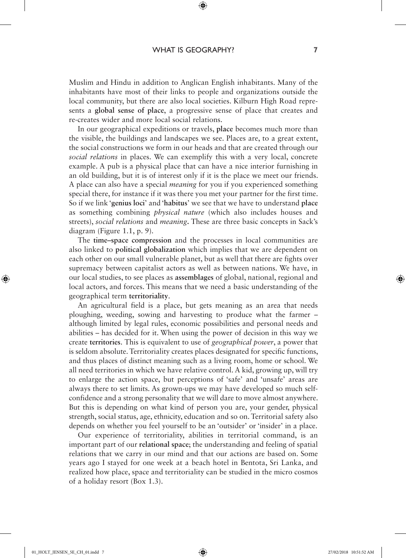⊕

Muslim and Hindu in addition to Anglican English inhabitants. Many of the inhabitants have most of their links to people and organizations outside the local community, but there are also local societies. Kilburn High Road represents a **global sense of place**, a progressive sense of place that creates and re-creates wider and more local social relations.

In our geographical expeditions or travels, **place** becomes much more than the visible, the buildings and landscapes we see. Places are, to a great extent, the social constructions we form in our heads and that are created through our *social relations* in places. We can exemplify this with a very local, concrete example. A pub is a physical place that can have a nice interior furnishing in an old building, but it is of interest only if it is the place we meet our friends. A place can also have a special *meaning* for you if you experienced something special there, for instance if it was there you met your partner for the first time. So if we link '**genius loci**' and '**habitus**' we see that we have to understand **place** as something combining *physical nature* (which also includes houses and streets), *social relations* and *meaning***.** These are three basic concepts in Sack's diagram (Figure 1.1, p. 9).

The **time–space compression** and the processes in local communities are also linked to **political globalization** which implies that we are dependent on each other on our small vulnerable planet, but as well that there are fights over supremacy between capitalist actors as well as between nations. We have, in our local studies, to see places as **assemblages** of global, national, regional and local actors, and forces. This means that we need a basic understanding of the geographical term **territoriality**.

An agricultural field is a place, but gets meaning as an area that needs ploughing, weeding, sowing and harvesting to produce what the farmer – although limited by legal rules, economic possibilities and personal needs and abilities – has decided for it. When using the power of decision in this way we create **territories**. This is equivalent to use of *geographical power*, a power that is seldom absolute. Territoriality creates places designated for specific functions, and thus places of distinct meaning such as a living room, home or school. We all need territories in which we have relative control. A kid, growing up, will try to enlarge the action space, but perceptions of 'safe' and 'unsafe' areas are always there to set limits. As grown-ups we may have developed so much selfconfidence and a strong personality that we will dare to move almost anywhere. But this is depending on what kind of person you are, your gender, physical strength, social status, age, ethnicity, education and so on. Territorial safety also depends on whether you feel yourself to be an 'outsider' or 'insider' in a place.

Our experience of territoriality, abilities in territorial command, is an important part of our **relational space**; the understanding and feeling of spatial relations that we carry in our mind and that our actions are based on. Some years ago I stayed for one week at a beach hotel in Bentota, Sri Lanka, and realized how place, space and territoriality can be studied in the micro cosmos of a holiday resort (Box 1.3).

♠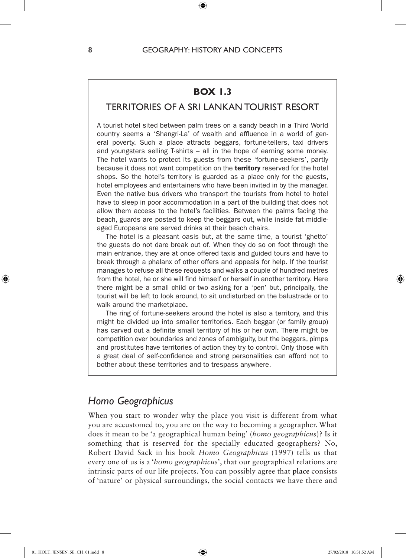$\textcircled{\scriptsize\textsf{P}}$ 

## **BOX 1.3**

### TERRITORIES OF A SRI LANKAN TOURIST RESORT

A tourist hotel sited between palm trees on a sandy beach in a Third World country seems a 'Shangri-La' of wealth and affluence in a world of general poverty. Such a place attracts beggars, fortune-tellers, taxi drivers and youngsters selling T-shirts – all in the hope of earning some money. The hotel wants to protect its guests from these 'fortune-seekers', partly because it does not want competition on the territory reserved for the hotel shops. So the hotel's territory is guarded as a place only for the guests, hotel employees and entertainers who have been invited in by the manager. Even the native bus drivers who transport the tourists from hotel to hotel have to sleep in poor accommodation in a part of the building that does not allow them access to the hotel's facilities. Between the palms facing the beach, guards are posted to keep the beggars out, while inside fat middleaged Europeans are served drinks at their beach chairs.

The hotel is a pleasant oasis but, at the same time, a tourist 'ghetto' the guests do not dare break out of. When they do so on foot through the main entrance, they are at once offered taxis and guided tours and have to break through a phalanx of other offers and appeals for help. If the tourist manages to refuse all these requests and walks a couple of hundred metres from the hotel, he or she will find himself or herself in another territory. Here there might be a small child or two asking for a 'pen' but, principally, the tourist will be left to look around, to sit undisturbed on the balustrade or to walk around the marketplace.

The ring of fortune-seekers around the hotel is also a territory, and this might be divided up into smaller territories. Each beggar (or family group) has carved out a definite small territory of his or her own. There might be competition over boundaries and zones of ambiguity, but the beggars, pimps and prostitutes have territories of action they try to control. Only those with a great deal of self-confidence and strong personalities can afford not to bother about these territories and to trespass anywhere.

## *Homo Geographicus*

When you start to wonder why the place you visit is different from what you are accustomed to, you are on the way to becoming a geographer. What does it mean to be 'a geographical human being' (*homo geographicus*)? Is it something that is reserved for the specially educated geographers? No, Robert David Sack in his book *Homo Geographicus* (1997) tells us that every one of us is a '*homo geographicus*', that our geographical relations are intrinsic parts of our life projects. You can possibly agree that **place** consists of 'nature' or physical surroundings, the social contacts we have there and

⊕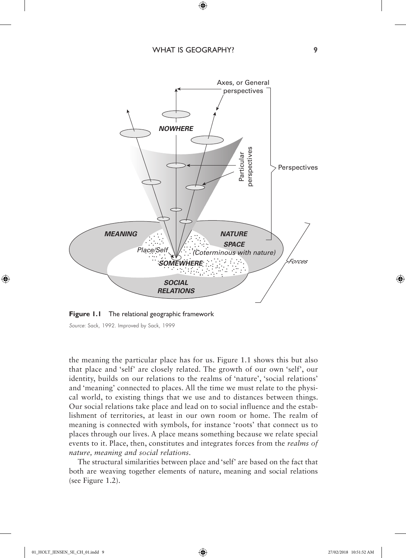$\bigoplus$ 



**Figure 1.1** The relational geographic framework

*Source*: Sack, 1992. Improved by Sack, 1999

the meaning the particular place has for us. Figure 1.1 shows this but also that place and 'self' are closely related. The growth of our own 'self', our identity, builds on our relations to the realms of 'nature', 'social relations' and 'meaning' connected to places. All the time we must relate to the physical world, to existing things that we use and to distances between things. Our social relations take place and lead on to social influence and the establishment of territories, at least in our own room or home. The realm of meaning is connected with symbols, for instance 'roots' that connect us to places through our lives. A place means something because we relate special events to it. Place, then, constitutes and integrates forces from the *realms of nature, meaning and social relations.*

The structural similarities between place and 'self' are based on the fact that both are weaving together elements of nature, meaning and social relations (see Figure 1.2).

⊕

♠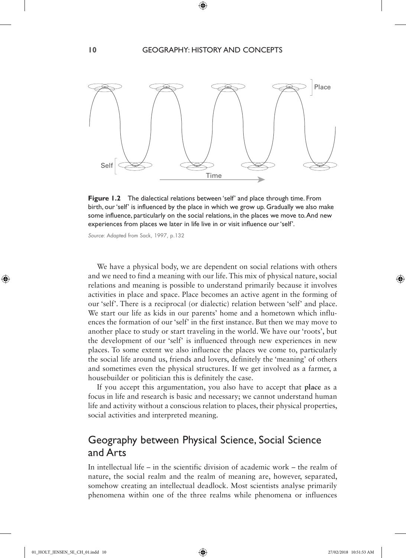⊕



**Figure 1.2** The dialectical relations between 'self' and place through time. From birth, our 'self' is influenced by the place in which we grow up. Gradually we also make some influence, particularly on the social relations, in the places we move to. And new experiences from places we later in life live in or visit influence our 'self'.

*Source*: Adapted from Sack, 1997, p.132

We have a physical body, we are dependent on social relations with others and we need to find a meaning with our life. This mix of physical nature, social relations and meaning is possible to understand primarily because it involves activities in place and space. Place becomes an active agent in the forming of our 'self'. There is a reciprocal (or dialectic) relation between 'self' and place. We start our life as kids in our parents' home and a hometown which influences the formation of our 'self' in the first instance. But then we may move to another place to study or start traveling in the world. We have our 'roots', but the development of our 'self' is influenced through new experiences in new places. To some extent we also influence the places we come to, particularly the social life around us, friends and lovers, definitely the 'meaning' of others and sometimes even the physical structures. If we get involved as a farmer, a housebuilder or politician this is definitely the case.

If you accept this argumentation, you also have to accept that **place** as a focus in life and research is basic and necessary; we cannot understand human life and activity without a conscious relation to places, their physical properties, social activities and interpreted meaning.

## Geography between Physical Science, Social Science and Arts

In intellectual life – in the scientific division of academic work – the realm of nature, the social realm and the realm of meaning are, however, separated, somehow creating an intellectual deadlock. Most scientists analyse primarily phenomena within one of the three realms while phenomena or influences

⊕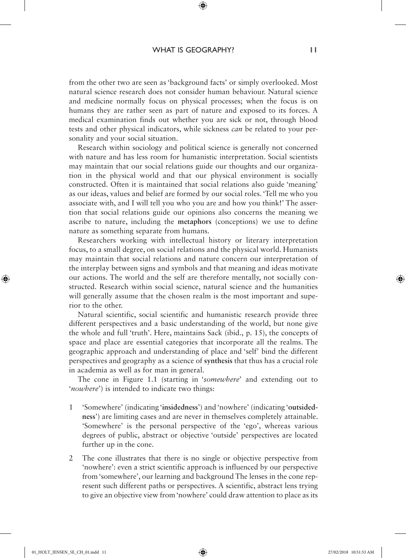⊕

from the other two are seen as 'background facts' or simply overlooked. Most natural science research does not consider human behaviour. Natural science and medicine normally focus on physical processes; when the focus is on humans they are rather seen as part of nature and exposed to its forces. A medical examination finds out whether you are sick or not, through blood tests and other physical indicators, while sickness *can* be related to your personality and your social situation.

Research within sociology and political science is generally not concerned with nature and has less room for humanistic interpretation. Social scientists may maintain that our social relations guide our thoughts and our organization in the physical world and that our physical environment is socially constructed. Often it is maintained that social relations also guide 'meaning' as our ideas, values and belief are formed by our social roles. 'Tell me who you associate with, and I will tell you who you are and how you think!' The assertion that social relations guide our opinions also concerns the meaning we ascribe to nature, including the **metaphors** (conceptions) we use to define nature as something separate from humans.

Researchers working with intellectual history or literary interpretation focus, to a small degree, on social relations and the physical world. Humanists may maintain that social relations and nature concern our interpretation of the interplay between signs and symbols and that meaning and ideas motivate our actions. The world and the self are therefore mentally, not socially constructed. Research within social science, natural science and the humanities will generally assume that the chosen realm is the most important and superior to the other.

Natural scientific, social scientific and humanistic research provide three different perspectives and a basic understanding of the world, but none give the whole and full 'truth'. Here, maintains Sack (ibid., p. 15), the concepts of space and place are essential categories that incorporate all the realms. The geographic approach and understanding of place and 'self' bind the different perspectives and geography as a science of **synthesis** that thus has a crucial role in academia as well as for man in general.

The cone in Figure 1.1 (starting in '*somewhere*' and extending out to '*nowhere*') is intended to indicate two things:

- 1 'Somewhere' (indicating '**insidedness**') and 'nowhere' (indicating '**outsidedness**') are limiting cases and are never in themselves completely attainable. 'Somewhere' is the personal perspective of the 'ego', whereas various degrees of public, abstract or objective 'outside' perspectives are located further up in the cone.
- 2 The cone illustrates that there is no single or objective perspective from 'nowhere': even a strict scientific approach is influenced by our perspective from 'somewhere', our learning and background The lenses in the cone represent such different paths or perspectives. A scientific, abstract lens trying to give an objective view from 'nowhere' could draw attention to place as its

♠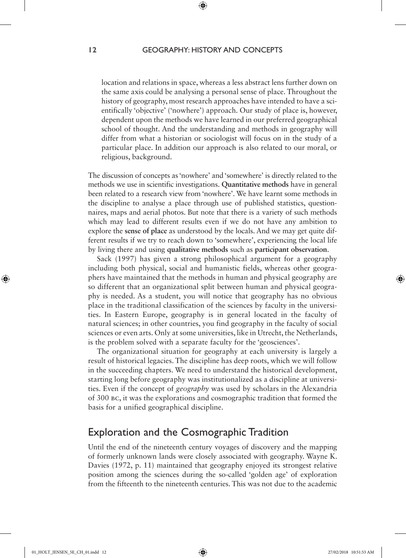⊕

location and relations in space, whereas a less abstract lens further down on the same axis could be analysing a personal sense of place. Throughout the history of geography, most research approaches have intended to have a scientifically 'objective' ('nowhere') approach. Our study of place is, however, dependent upon the methods we have learned in our preferred geographical school of thought. And the understanding and methods in geography will differ from what a historian or sociologist will focus on in the study of a particular place. In addition our approach is also related to our moral, or religious, background.

The discussion of concepts as 'nowhere' and 'somewhere' is directly related to the methods we use in scientific investigations. **Quantitative methods** have in general been related to a research view from 'nowhere'. We have learnt some methods in the discipline to analyse a place through use of published statistics, questionnaires, maps and aerial photos. But note that there is a variety of such methods which may lead to different results even if we do not have any ambition to explore the **sense of place** as understood by the locals. And we may get quite different results if we try to reach down to 'somewhere', experiencing the local life by living there and using **qualitative methods** such as **participant observation**.

Sack (1997) has given a strong philosophical argument for a geography including both physical, social and humanistic fields, whereas other geographers have maintained that the methods in human and physical geography are so different that an organizational split between human and physical geography is needed. As a student, you will notice that geography has no obvious place in the traditional classification of the sciences by faculty in the universities. In Eastern Europe, geography is in general located in the faculty of natural sciences; in other countries, you find geography in the faculty of social sciences or even arts. Only at some universities, like in Utrecht, the Netherlands, is the problem solved with a separate faculty for the 'geosciences'.

The organizational situation for geography at each university is largely a result of historical legacies. The discipline has deep roots, which we will follow in the succeeding chapters. We need to understand the historical development, starting long before geography was institutionalized as a discipline at universities. Even if the concept of *geography* was used by scholars in the Alexandria of 300 bc, it was the explorations and cosmographic tradition that formed the basis for a unified geographical discipline.

## Exploration and the Cosmographic Tradition

Until the end of the nineteenth century voyages of discovery and the mapping of formerly unknown lands were closely associated with geography. Wayne K. Davies (1972, p. 11) maintained that geography enjoyed its strongest relative position among the sciences during the so-called 'golden age' of exploration from the fifteenth to the nineteenth centuries. This was not due to the academic

♠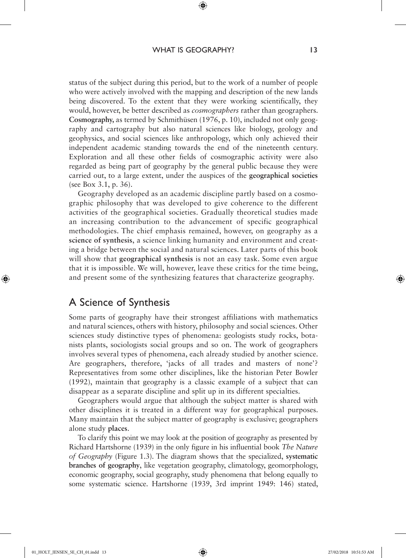⊕

status of the subject during this period, but to the work of a number of people who were actively involved with the mapping and description of the new lands being discovered. To the extent that they were working scientifically, they would, however, be better described as *cosmographers* rather than geographers. **Cosmography,** as termed by Schmithüsen (1976, p. 10), included not only geography and cartography but also natural sciences like biology, geology and geophysics, and social sciences like anthropology, which only achieved their independent academic standing towards the end of the nineteenth century. Exploration and all these other fields of cosmographic activity were also regarded as being part of geography by the general public because they were carried out, to a large extent, under the auspices of the **geographical societies**  (see Box 3.1, p. 36).

Geography developed as an academic discipline partly based on a cosmographic philosophy that was developed to give coherence to the different activities of the geographical societies. Gradually theoretical studies made an increasing contribution to the advancement of specific geographical methodologies. The chief emphasis remained, however, on geography as a **science of synthesis**, a science linking humanity and environment and creating a bridge between the social and natural sciences. Later parts of this book will show that **geographical synthesis** is not an easy task. Some even argue that it is impossible. We will, however, leave these critics for the time being, and present some of the synthesizing features that characterize geography.

## A Science of Synthesis

Some parts of geography have their strongest affiliations with mathematics and natural sciences, others with history, philosophy and social sciences. Other sciences study distinctive types of phenomena: geologists study rocks, botanists plants, sociologists social groups and so on. The work of geographers involves several types of phenomena, each already studied by another science. Are geographers, therefore, 'jacks of all trades and masters of none'? Representatives from some other disciplines, like the historian Peter Bowler (1992), maintain that geography is a classic example of a subject that can disappear as a separate discipline and split up in its different specialties.

Geographers would argue that although the subject matter is shared with other disciplines it is treated in a different way for geographical purposes. Many maintain that the subject matter of geography is exclusive; geographers alone study **places**.

To clarify this point we may look at the position of geography as presented by Richard Hartshorne (1939) in the only figure in his influential book *The Nature of Geography* (Figure 1.3). The diagram shows that the specialized, **systematic branches of geography**, like vegetation geography, climatology, geomorphology, economic geography, social geography, study phenomena that belong equally to some systematic science. Hartshorne (1939, 3rd imprint 1949: 146) stated,

⊕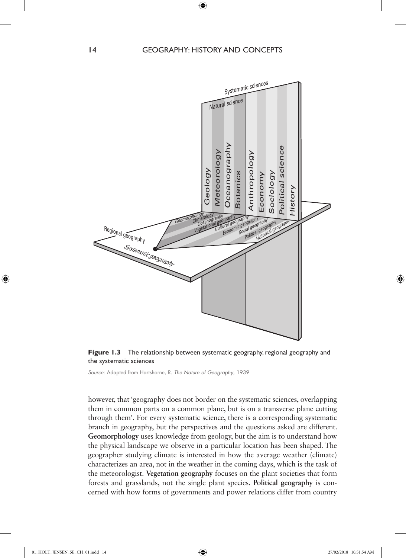$\bigoplus$ 





*Source*: Adapted from Hartshorne, R. *The Nature of Geography*, 1939

however, that 'geography does not border on the systematic sciences, overlapping them in common parts on a common plane, but is on a transverse plane cutting through them'. For every systematic science, there is a corresponding systematic branch in geography, but the perspectives and the questions asked are different. **Geomorphology** uses knowledge from geology, but the aim is to understand how the physical landscape we observe in a particular location has been shaped. The geographer studying climate is interested in how the average weather (climate) characterizes an area, not in the weather in the coming days, which is the task of the meteorologist. **Vegetation geography** focuses on the plant societies that form forests and grasslands, not the single plant species. **Political geography** is concerned with how forms of governments and power relations differ from country

⊕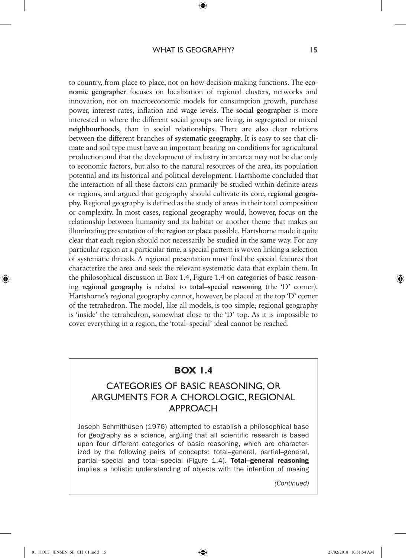$\bigoplus$ 

to country, from place to place, not on how decision-making functions. The **economic geographer** focuses on localization of regional clusters, networks and innovation, not on macroeconomic models for consumption growth, purchase power, interest rates, inflation and wage levels. The **social geographer** is more interested in where the different social groups are living, in segregated or mixed **neighbourhoods**, than in social relationships. There are also clear relations between the different branches of **systematic geography**. It is easy to see that climate and soil type must have an important bearing on conditions for agricultural production and that the development of industry in an area may not be due only to economic factors, but also to the natural resources of the area, its population potential and its historical and political development. Hartshorne concluded that the interaction of all these factors can primarily be studied within definite areas or regions, and argued that geography should cultivate its core, **regional geography.** Regional geography is defined as the study of areas in their total composition or complexity. In most cases, regional geography would, however, focus on the relationship between humanity and its habitat or another theme that makes an illuminating presentation of the **region** or **place** possible. Hartshorne made it quite clear that each region should not necessarily be studied in the same way. For any particular region at a particular time, a special pattern is woven linking a selection of systematic threads. A regional presentation must find the special features that characterize the area and seek the relevant systematic data that explain them. In the philosophical discussion in Box 1.4, Figure 1.4 on categories of basic reasoning **regional geography** is related to **total–special reasoning** (the 'D' corner)*.*  Hartshorne's regional geography cannot, however, be placed at the top 'D' corner of the tetrahedron. The model, like all models, is too simple; regional geography is 'inside' the tetrahedron, somewhat close to the 'D' top. As it is impossible to cover everything in a region, the 'total–special' ideal cannot be reached.

### **BOX 1.4**

## CATEGORIES OF BASIC REASONING, OR ARGUMENTS FOR A CHOROLOGIC, REGIONAL APPROACH

Joseph Schmithüsen (1976) attempted to establish a philosophical base for geography as a science, arguing that all scientific research is based upon four different categories of basic reasoning, which are characterized by the following pairs of concepts: total–general, partial–general, partial–special and total–special (Figure 1.4). Total–general reasoning implies a holistic understanding of objects with the intention of making

*(Continued)*

♠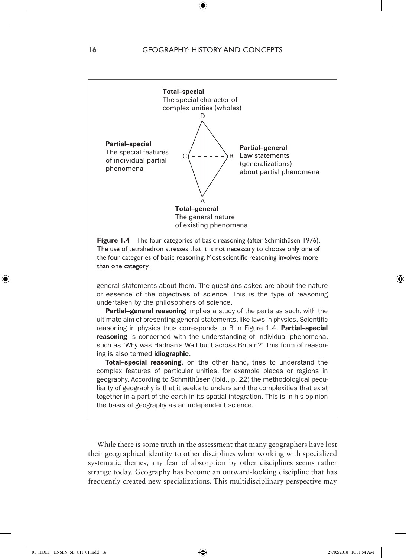⊕



While there is some truth in the assessment that many geographers have lost their geographical identity to other disciplines when working with specialized systematic themes, any fear of absorption by other disciplines seems rather strange today. Geography has become an outward-looking discipline that has frequently created new specializations. This multidisciplinary perspective may

♠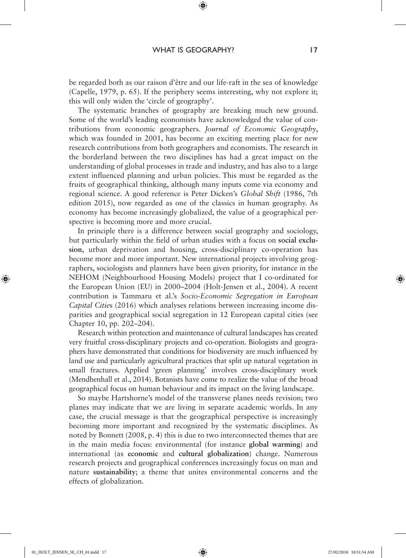$\textcircled{\scriptsize{*}}$ 

be regarded both as our raison d'être and our life-raft in the sea of knowledge (Capelle, 1979, p. 65). If the periphery seems interesting, why not explore it; this will only widen the 'circle of geography'.

The systematic branches of geography are breaking much new ground. Some of the world's leading economists have acknowledged the value of contributions from economic geographers. *Journal of Economic Geography*, which was founded in 2001, has become an exciting meeting place for new research contributions from both geographers and economists. The research in the borderland between the two disciplines has had a great impact on the understanding of global processes in trade and industry, and has also to a large extent influenced planning and urban policies. This must be regarded as the fruits of geographical thinking, although many inputs come via economy and regional science. A good reference is Peter Dicken's *Global Shift* (1986, 7th edition 2015), now regarded as one of the classics in human geography. As economy has become increasingly globalized, the value of a geographical perspective is becoming more and more crucial.

In principle there is a difference between social geography and sociology, but particularly within the field of urban studies with a focus on **social exclusion**, urban deprivation and housing, cross-disciplinary co-operation has become more and more important. New international projects involving geographers, sociologists and planners have been given priority, for instance in the NEHOM (Neighbourhood Housing Models) project that I co-ordinated for the European Union (EU) in 2000–2004 (Holt-Jensen et al., 2004). A recent contribution is Tammaru et al.'s *Socio-Economic Segregation in European Capital Citie*s (2016) which analyses relations between increasing income disparities and geographical social segregation in 12 European capital cities (see Chapter 10, pp. 202–204).

Research within protection and maintenance of cultural landscapes has created very fruitful cross-disciplinary projects and co-operation. Biologists and geographers have demonstrated that conditions for biodiversity are much influenced by land use and particularly agricultural practices that split up natural vegetation in small fractures. Applied 'green planning' involves cross-disciplinary work (Mendhenhall et al., 2014). Botanists have come to realize the value of the broad geographical focus on human behaviour and its impact on the living landscape.

So maybe Hartshorne's model of the transverse planes needs revision; two planes may indicate that we are living in separate academic worlds. In any case, the crucial message is that the geographical perspective is increasingly becoming more important and recognized by the systematic disciplines. As noted by Bonnett (2008, p. 4) this is due to two interconnected themes that are in the main media focus: environmental (for instance **global warming**) and international (as **economic** and **cultural globalization**) change. Numerous research projects and geographical conferences increasingly focus on man and nature **sustainability**; a theme that unites environmental concerns and the effects of globalization.

⊕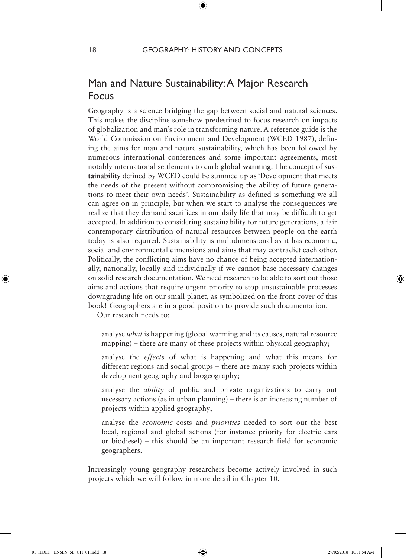$\textcircled{\scriptsize{*}}$ 

## Man and Nature Sustainability: A Major Research Focus

Geography is a science bridging the gap between social and natural sciences. This makes the discipline somehow predestined to focus research on impacts of globalization and man's role in transforming nature. A reference guide is the World Commission on Environment and Development (WCED 1987), defining the aims for man and nature sustainability, which has been followed by numerous international conferences and some important agreements, most notably international settlements to curb **global warming**. The concept of **sustainability** defined by WCED could be summed up as 'Development that meets the needs of the present without compromising the ability of future generations to meet their own needs'. Sustainability as defined is something we all can agree on in principle, but when we start to analyse the consequences we realize that they demand sacrifices in our daily life that may be difficult to get accepted. In addition to considering sustainability for future generations, a fair contemporary distribution of natural resources between people on the earth today is also required. Sustainability is multidimensional as it has economic, social and environmental dimensions and aims that may contradict each other. Politically, the conflicting aims have no chance of being accepted internationally, nationally, locally and individually if we cannot base necessary changes on solid research documentation. We need research to be able to sort out those aims and actions that require urgent priority to stop unsustainable processes downgrading life on our small planet, as symbolized on the front cover of this book! Geographers are in a good position to provide such documentation.

Our research needs to:

analyse *what* is happening (global warming and its causes, natural resource mapping) – there are many of these projects within physical geography;

analyse the *effects* of what is happening and what this means for different regions and social groups – there are many such projects within development geography and biogeography;

analyse the *ability* of public and private organizations to carry out necessary actions (as in urban planning) – there is an increasing number of projects within applied geography;

analyse the *economic* costs and *priorities* needed to sort out the best local, regional and global actions (for instance priority for electric cars or biodiesel) – this should be an important research field for economic geographers.

Increasingly young geography researchers become actively involved in such projects which we will follow in more detail in Chapter 10.

♠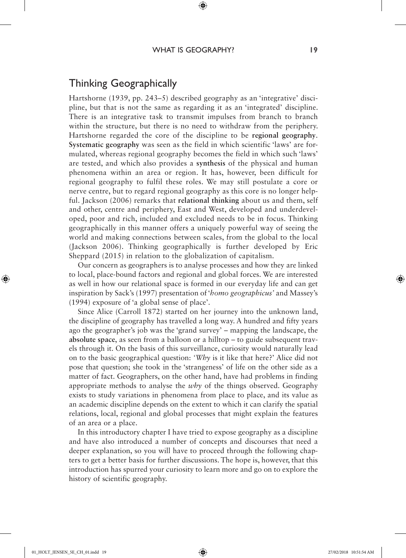$\textcircled{\scriptsize{*}}$ 

## Thinking Geographically

Hartshorne (1939, pp. 243–5) described geography as an 'integrative' discipline, but that is not the same as regarding it as an 'integrated' discipline. There is an integrative task to transmit impulses from branch to branch within the structure, but there is no need to withdraw from the periphery. Hartshorne regarded the core of the discipline to be **regional geography**. **Systematic geography** was seen as the field in which scientific 'laws' are formulated, whereas regional geography becomes the field in which such 'laws' are tested, and which also provides a **synthesis** of the physical and human phenomena within an area or region. It has, however, been difficult for regional geography to fulfil these roles. We may still postulate a core or nerve centre, but to regard regional geography as this core is no longer helpful. Jackson (2006) remarks that **relational thinking** about us and them, self and other, centre and periphery, East and West, developed and underdeveloped, poor and rich, included and excluded needs to be in focus. Thinking geographically in this manner offers a uniquely powerful way of seeing the world and making connections between scales, from the global to the local (Jackson 2006). Thinking geographically is further developed by Eric Sheppard (2015) in relation to the globalization of capitalism.

Our concern as geographers is to analyse processes and how they are linked to local, place-bound factors and regional and global forces. We are interested as well in how our relational space is formed in our everyday life and can get inspiration by Sack's (1997) presentation of '*homo geographicus'* and Massey's (1994) exposure of 'a global sense of place'.

Since Alice (Carroll 1872) started on her journey into the unknown land, the discipline of geography has travelled a long way. A hundred and fifty years ago the geographer's job was the 'grand survey' – mapping the landscape, the **absolute space**, as seen from a balloon or a hilltop – to guide subsequent travels through it. On the basis of this surveillance, curiosity would naturally lead on to the basic geographical question: *'Why* is it like that here?' Alice did not pose that question; she took in the 'strangeness' of life on the other side as a matter of fact. Geographers, on the other hand, have had problems in finding appropriate methods to analyse the *why* of the things observed. Geography exists to study variations in phenomena from place to place, and its value as an academic discipline depends on the extent to which it can clarify the spatial relations, local, regional and global processes that might explain the features of an area or a place.

In this introductory chapter I have tried to expose geography as a discipline and have also introduced a number of concepts and discourses that need a deeper explanation, so you will have to proceed through the following chapters to get a better basis for further discussions. The hope is, however, that this introduction has spurred your curiosity to learn more and go on to explore the history of scientific geography.

♠